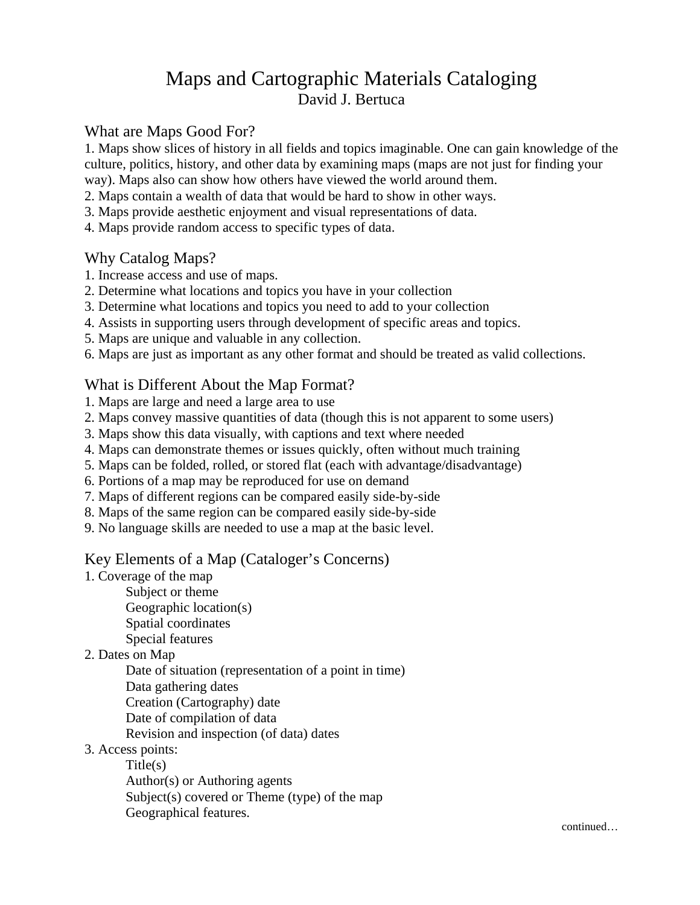# Maps and Cartographic Materials Cataloging David J. Bertuca

## What are Maps Good For?

1. Maps show slices of history in all fields and topics imaginable. One can gain knowledge of the culture, politics, history, and other data by examining maps (maps are not just for finding your way). Maps also can show how others have viewed the world around them.

2. Maps contain a wealth of data that would be hard to show in other ways.

- 3. Maps provide aesthetic enjoyment and visual representations of data.
- 4. Maps provide random access to specific types of data.

## Why Catalog Maps?

- 1. Increase access and use of maps.
- 2. Determine what locations and topics you have in your collection
- 3. Determine what locations and topics you need to add to your collection
- 4. Assists in supporting users through development of specific areas and topics.
- 5. Maps are unique and valuable in any collection.
- 6. Maps are just as important as any other format and should be treated as valid collections.

## What is Different About the Map Format?

- 1. Maps are large and need a large area to use
- 2. Maps convey massive quantities of data (though this is not apparent to some users)
- 3. Maps show this data visually, with captions and text where needed
- 4. Maps can demonstrate themes or issues quickly, often without much training
- 5. Maps can be folded, rolled, or stored flat (each with advantage/disadvantage)
- 6. Portions of a map may be reproduced for use on demand
- 7. Maps of different regions can be compared easily side-by-side
- 8. Maps of the same region can be compared easily side-by-side
- 9. No language skills are needed to use a map at the basic level.

## Key Elements of a Map (Cataloger's Concerns)

- 1. Coverage of the map
	- Subject or theme
		- Geographic location(s)
		- Spatial coordinates
	- Special features
- 2. Dates on Map
	- Date of situation (representation of a point in time)
	- Data gathering dates
	- Creation (Cartography) date
	- Date of compilation of data

Revision and inspection (of data) dates

### 3. Access points:

Title(s) Author(s) or Authoring agents Subject(s) covered or Theme (type) of the map Geographical features.